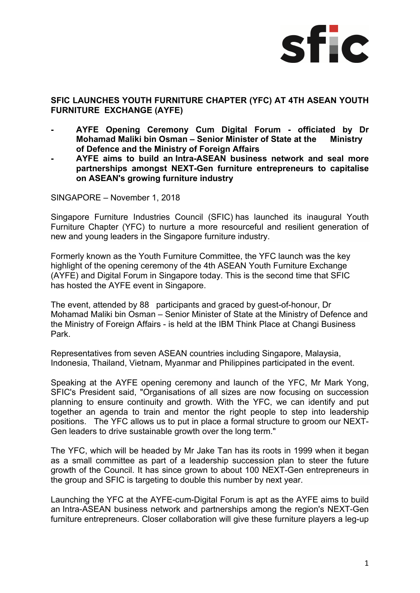

## **SFIC LAUNCHES YOUTH FURNITURE CHAPTER (YFC) AT 4TH ASEAN YOUTH FURNITURE EXCHANGE (AYFE)**

- **AYFE Opening Ceremony Cum Digital Forum officiated by Dr Mohamad Maliki bin Osman – Senior Minister of State at the Ministry of Defence and the Ministry of Foreign Affairs**
- **AYFE aims to build an Intra-ASEAN business network and seal more partnerships amongst NEXT-Gen furniture entrepreneurs to capitalise on ASEAN's growing furniture industry**

SINGAPORE – November 1, 2018

Singapore Furniture Industries Council (SFIC) has launched its inaugural Youth Furniture Chapter (YFC) to nurture a more resourceful and resilient generation of new and young leaders in the Singapore furniture industry.

Formerly known as the Youth Furniture Committee, the YFC launch was the key highlight of the opening ceremony of the 4th ASEAN Youth Furniture Exchange (AYFE) and Digital Forum in Singapore today. This is the second time that SFIC has hosted the AYFE event in Singapore.

The event, attended by 88 participants and graced by guest-of-honour, Dr Mohamad Maliki bin Osman – Senior Minister of State at the Ministry of Defence and the Ministry of Foreign Affairs - is held at the IBM Think Place at Changi Business Park.

Representatives from seven ASEAN countries including Singapore, Malaysia, Indonesia, Thailand, Vietnam, Myanmar and Philippines participated in the event.

Speaking at the AYFE opening ceremony and launch of the YFC, Mr Mark Yong, SFIC's President said, "Organisations of all sizes are now focusing on succession planning to ensure continuity and growth. With the YFC, we can identify and put together an agenda to train and mentor the right people to step into leadership positions. The YFC allows us to put in place a formal structure to groom our NEXT-Gen leaders to drive sustainable growth over the long term."

The YFC, which will be headed by Mr Jake Tan has its roots in 1999 when it began as a small committee as part of a leadership succession plan to steer the future growth of the Council. It has since grown to about 100 NEXT-Gen entrepreneurs in the group and SFIC is targeting to double this number by next year.

Launching the YFC at the AYFE-cum-Digital Forum is apt as the AYFE aims to build an Intra-ASEAN business network and partnerships among the region's NEXT-Gen furniture entrepreneurs. Closer collaboration will give these furniture players a leg-up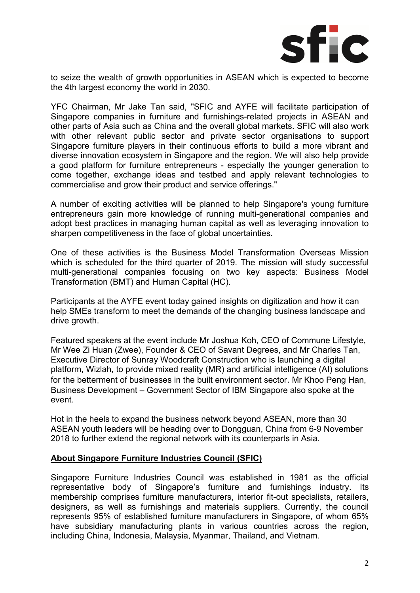

to seize the wealth of growth opportunities in ASEAN which is expected to become the 4th largest economy the world in 2030.

YFC Chairman, Mr Jake Tan said, "SFIC and AYFE will facilitate participation of Singapore companies in furniture and furnishings-related projects in ASEAN and other parts of Asia such as China and the overall global markets. SFIC will also work with other relevant public sector and private sector organisations to support Singapore furniture players in their continuous efforts to build a more vibrant and diverse innovation ecosystem in Singapore and the region. We will also help provide a good platform for furniture entrepreneurs - especially the younger generation to come together, exchange ideas and testbed and apply relevant technologies to commercialise and grow their product and service offerings."

A number of exciting activities will be planned to help Singapore's young furniture entrepreneurs gain more knowledge of running multi-generational companies and adopt best practices in managing human capital as well as leveraging innovation to sharpen competitiveness in the face of global uncertainties.

 One of these activities is the Business Model Transformation Overseas Mission which is scheduled for the third quarter of 2019. The mission will study successful multi-generational companies focusing on two key aspects: Business Model Transformation (BMT) and Human Capital (HC).

Participants at the AYFE event today gained insights on digitization and how it can help SMEs transform to meet the demands of the changing business landscape and drive growth.

Featured speakers at the event include Mr Joshua Koh, CEO of Commune Lifestyle, Mr Wee Zi Huan (Zwee), Founder & CEO of Savant Degrees, and Mr Charles Tan, Executive Director of Sunray Woodcraft Construction who is launching a digital platform, Wizlah, to provide mixed reality (MR) and artificial intelligence (AI) solutions for the betterment of businesses in the built environment sector. Mr Khoo Peng Han, Business Development – Government Sector of IBM Singapore also spoke at the event.

Hot in the heels to expand the business network beyond ASEAN, more than 30 ASEAN youth leaders will be heading over to Dongguan, China from 6-9 November 2018 to further extend the regional network with its counterparts in Asia.

## **About Singapore Furniture Industries Council (SFIC)**

Singapore Furniture Industries Council was established in 1981 as the official representative body of Singapore's furniture and furnishings industry. Its membership comprises furniture manufacturers, interior fit-out specialists, retailers, designers, as well as furnishings and materials suppliers. Currently, the council represents 95% of established furniture manufacturers in Singapore, of whom 65% have subsidiary manufacturing plants in various countries across the region. including China, Indonesia, Malaysia, Myanmar, Thailand, and Vietnam.